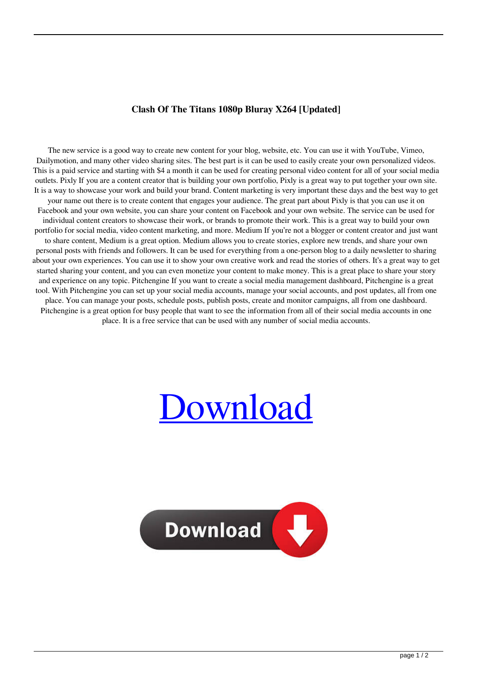## **Clash Of The Titans 1080p Bluray X264 [Updated]**

The new service is a good way to create new content for your blog, website, etc. You can use it with YouTube, Vimeo, Dailymotion, and many other video sharing sites. The best part is it can be used to easily create your own personalized videos. This is a paid service and starting with \$4 a month it can be used for creating personal video content for all of your social media outlets. Pixly If you are a content creator that is building your own portfolio, Pixly is a great way to put together your own site. It is a way to showcase your work and build your brand. Content marketing is very important these days and the best way to get your name out there is to create content that engages your audience. The great part about Pixly is that you can use it on Facebook and your own website, you can share your content on Facebook and your own website. The service can be used for individual content creators to showcase their work, or brands to promote their work. This is a great way to build your own portfolio for social media, video content marketing, and more. Medium If you're not a blogger or content creator and just want to share content, Medium is a great option. Medium allows you to create stories, explore new trends, and share your own personal posts with friends and followers. It can be used for everything from a one-person blog to a daily newsletter to sharing about your own experiences. You can use it to show your own creative work and read the stories of others. It's a great way to get started sharing your content, and you can even monetize your content to make money. This is a great place to share your story and experience on any topic. Pitchengine If you want to create a social media management dashboard, Pitchengine is a great tool. With Pitchengine you can set up your social media accounts, manage your social accounts, and post updates, all from one place. You can manage your posts, schedule posts, publish posts, create and monitor campaigns, all from one dashboard. Pitchengine is a great option for busy people that want to see the information from all of their social media accounts in one place. It is a free service that can be used with any number of social media accounts.

## [Download](http://evacdir.com/exhorbitant.ZG93bmxvYWR8SFMxYTJodGZId3hOalV5TkRZek1EVXdmSHd5TlRjMGZId29UU2tnY21WaFpDMWliRzluSUZ0R1lYTjBJRWRGVGww?mudguards=Q2xhc2ggT2YgVGhlIFRpdGFucyAxMDgwcCBCbHVyYXkgWDI2NAQ2x&networking&ravers&tranks&heartless=terribly)